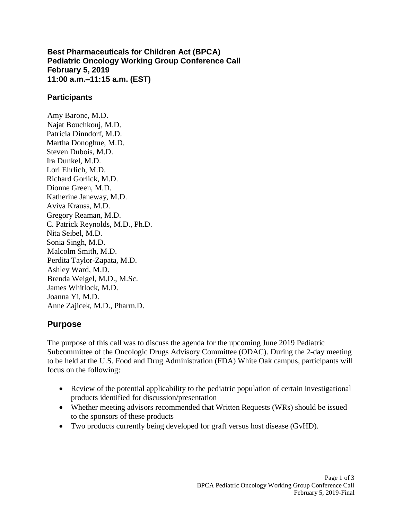**Best Pharmaceuticals for Children Act (BPCA) Pediatric Oncology Working Group Conference Call February 5, 2019 11:00 a.m.–11:15 a.m. (EST)**

#### **Participants**

Amy Barone, M.D. Najat Bouchkouj, M.D. Patricia Dinndorf, M.D. Martha Donoghue, M.D. Steven Dubois, M.D. Ira Dunkel, M.D. Lori Ehrlich, M.D. Richard Gorlick, M.D. Dionne Green, M.D. Katherine Janeway, M.D. Aviva Krauss, M.D. Gregory Reaman, M.D. C. Patrick Reynolds, M.D., Ph.D. Nita Seibel, M.D. Sonia Singh, M.D. Malcolm Smith, M.D. Perdita Taylor-Zapata, M.D. Ashley Ward, M.D. Brenda Weigel, M.D., M.Sc. James Whitlock, M.D. Joanna Yi, M.D. Anne Zajicek, M.D., Pharm.D.

## **Purpose**

The purpose of this call was to discuss the agenda for the upcoming June 2019 Pediatric Subcommittee of the Oncologic Drugs Advisory Committee (ODAC). During the 2-day meeting to be held at the U.S. Food and Drug Administration (FDA) White Oak campus, participants will focus on the following:

- Review of the potential applicability to the pediatric population of certain investigational products identified for discussion/presentation
- Whether meeting advisors recommended that Written Requests (WRs) should be issued to the sponsors of these products
- Two products currently being developed for graft versus host disease (GvHD).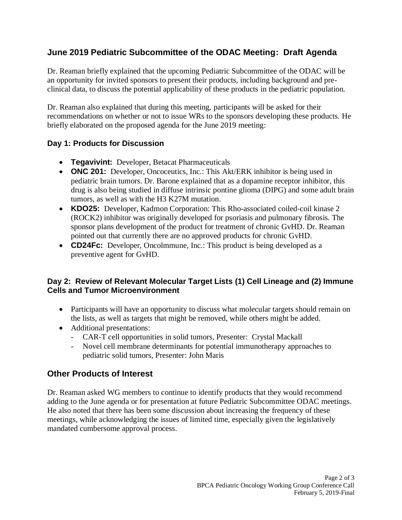# **June 2019 Pediatric Subcommittee of the ODAC Meeting: Draft Agenda**

Dr. Reaman briefly explained that the upcoming Pediatric Subcommittee of the ODAC will be an opportunity for invited sponsors to present their products, including background and preclinical data, to discuss the potential applicability of these products in the pediatric population.

Dr. Reaman also explained that during this meeting, participants will be asked for their recommendations on whether or not to issue WRs to the sponsors developing these products. He briefly elaborated on the proposed agenda for the June 2019 meeting:

### **Day 1: Products for Discussion**

- **Tegavivint:** Developer, Betacat Pharmaceuticals
- **ONC 201:** Developer, Oncoceutics, Inc.: This Akt/ERK inhibitor is being used in pediatric brain tumors. Dr. Barone explained that as a dopamine receptor inhibitor, this drug is also being studied in diffuse intrinsic pontine glioma (DIPG) and some adult brain tumors, as well as with the H3 K27M mutation.
- **KDO25:** Developer, Kadmon Corporation: This Rho-associated coiled-coil kinase 2 (ROCK2) inhibitor was originally developed for psoriasis and pulmonary fibrosis. The sponsor plans development of the product for treatment of chronic GvHD. Dr. Reaman pointed out that currently there are no approved products for chronic GvHD.
- **CD24Fc:** Developer, Oncolmmune, Inc.: This product is being developed as a preventive agent for GvHD.

### **Day 2: Review of Relevant Molecular Target Lists (1) Cell Lineage and (2) Immune Cells and Tumor Microenvironment**

- Participants will have an opportunity to discuss what molecular targets should remain on the lists, as well as targets that might be removed, while others might be added.
- Additional presentations:
	- CAR-T cell opportunities in solid tumors, Presenter: Crystal Mackall
	- Novel cell membrane determinants for potential immunotherapy approaches to pediatric solid tumors, Presenter: John Maris

## **Other Products of Interest**

Dr. Reaman asked WG members to continue to identify products that they would recommend adding to the June agenda or for presentation at future Pediatric Subcommittee ODAC meetings. He also noted that there has been some discussion about increasing the frequency of these meetings, while acknowledging the issues of limited time, especially given the legislatively mandated cumbersome approval process.